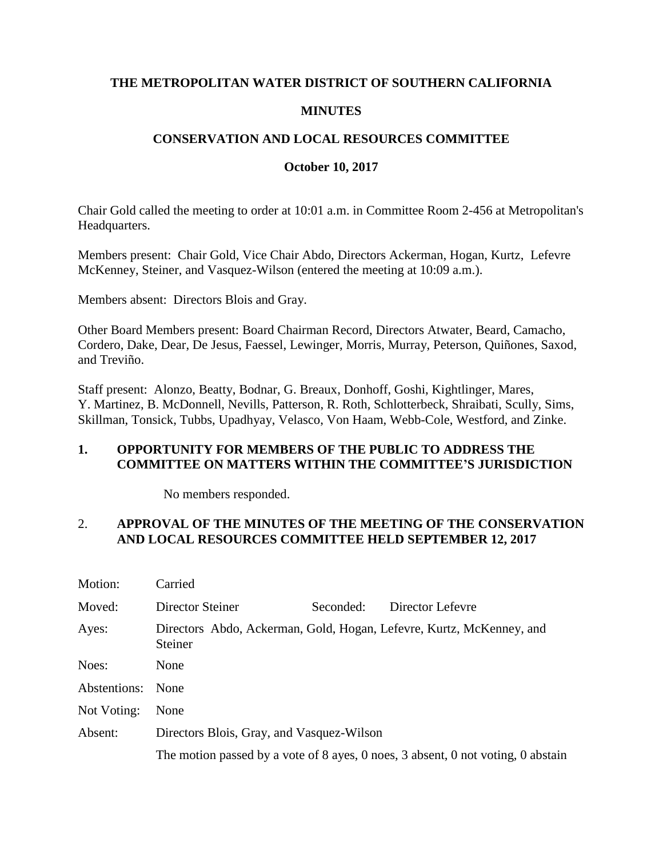## **THE METROPOLITAN WATER DISTRICT OF SOUTHERN CALIFORNIA**

## **MINUTES**

## **CONSERVATION AND LOCAL RESOURCES COMMITTEE**

## **October 10, 2017**

Chair Gold called the meeting to order at 10:01 a.m. in Committee Room 2-456 at Metropolitan's Headquarters.

Members present: Chair Gold, Vice Chair Abdo, Directors Ackerman, Hogan, Kurtz, Lefevre McKenney, Steiner, and Vasquez-Wilson (entered the meeting at 10:09 a.m.).

Members absent: Directors Blois and Gray.

Other Board Members present: Board Chairman Record, Directors Atwater, Beard, Camacho, Cordero, Dake, Dear, De Jesus, Faessel, Lewinger, Morris, Murray, Peterson, Quiñones, Saxod, and Treviño.

Staff present: Alonzo, Beatty, Bodnar, G. Breaux, Donhoff, Goshi, Kightlinger, Mares, Y. Martinez, B. McDonnell, Nevills, Patterson, R. Roth, Schlotterbeck, Shraibati, Scully, Sims, Skillman, Tonsick, Tubbs, Upadhyay, Velasco, Von Haam, Webb-Cole, Westford, and Zinke.

## **1. OPPORTUNITY FOR MEMBERS OF THE PUBLIC TO ADDRESS THE COMMITTEE ON MATTERS WITHIN THE COMMITTEE'S JURISDICTION**

No members responded.

## 2. **APPROVAL OF THE MINUTES OF THE MEETING OF THE CONSERVATION AND LOCAL RESOURCES COMMITTEE HELD SEPTEMBER 12, 2017**

| Motion:           | Carried                                                                          |           |                  |  |
|-------------------|----------------------------------------------------------------------------------|-----------|------------------|--|
| Moved:            | Director Steiner                                                                 | Seconded: | Director Lefevre |  |
| Ayes:             | Directors Abdo, Ackerman, Gold, Hogan, Lefevre, Kurtz, McKenney, and<br>Steiner  |           |                  |  |
| Noes:             | None                                                                             |           |                  |  |
| Abstentions: None |                                                                                  |           |                  |  |
| Not Voting:       | None                                                                             |           |                  |  |
| Absent:           | Directors Blois, Gray, and Vasquez-Wilson                                        |           |                  |  |
|                   | The motion passed by a vote of 8 ayes, 0 noes, 3 absent, 0 not voting, 0 abstain |           |                  |  |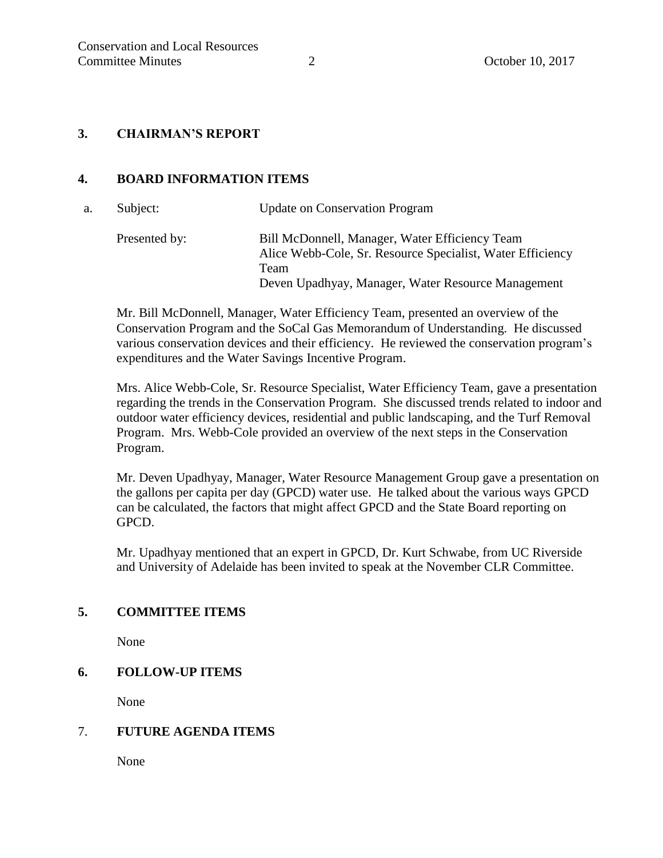## **3. CHAIRMAN'S REPORT**

## **4. BOARD INFORMATION ITEMS**

| а. | Subject:      | <b>Update on Conservation Program</b>                                                                                                                                      |
|----|---------------|----------------------------------------------------------------------------------------------------------------------------------------------------------------------------|
|    | Presented by: | Bill McDonnell, Manager, Water Efficiency Team<br>Alice Webb-Cole, Sr. Resource Specialist, Water Efficiency<br>Team<br>Deven Upadhyay, Manager, Water Resource Management |

Mr. Bill McDonnell, Manager, Water Efficiency Team, presented an overview of the Conservation Program and the SoCal Gas Memorandum of Understanding. He discussed various conservation devices and their efficiency. He reviewed the conservation program's expenditures and the Water Savings Incentive Program.

Mrs. Alice Webb-Cole, Sr. Resource Specialist, Water Efficiency Team, gave a presentation regarding the trends in the Conservation Program. She discussed trends related to indoor and outdoor water efficiency devices, residential and public landscaping, and the Turf Removal Program. Mrs. Webb-Cole provided an overview of the next steps in the Conservation Program.

Mr. Deven Upadhyay, Manager, Water Resource Management Group gave a presentation on the gallons per capita per day (GPCD) water use. He talked about the various ways GPCD can be calculated, the factors that might affect GPCD and the State Board reporting on GPCD.

Mr. Upadhyay mentioned that an expert in GPCD, Dr. Kurt Schwabe, from UC Riverside and University of Adelaide has been invited to speak at the November CLR Committee.

## **5. COMMITTEE ITEMS**

None

## **6. FOLLOW-UP ITEMS**

None

#### 7. **FUTURE AGENDA ITEMS**

None